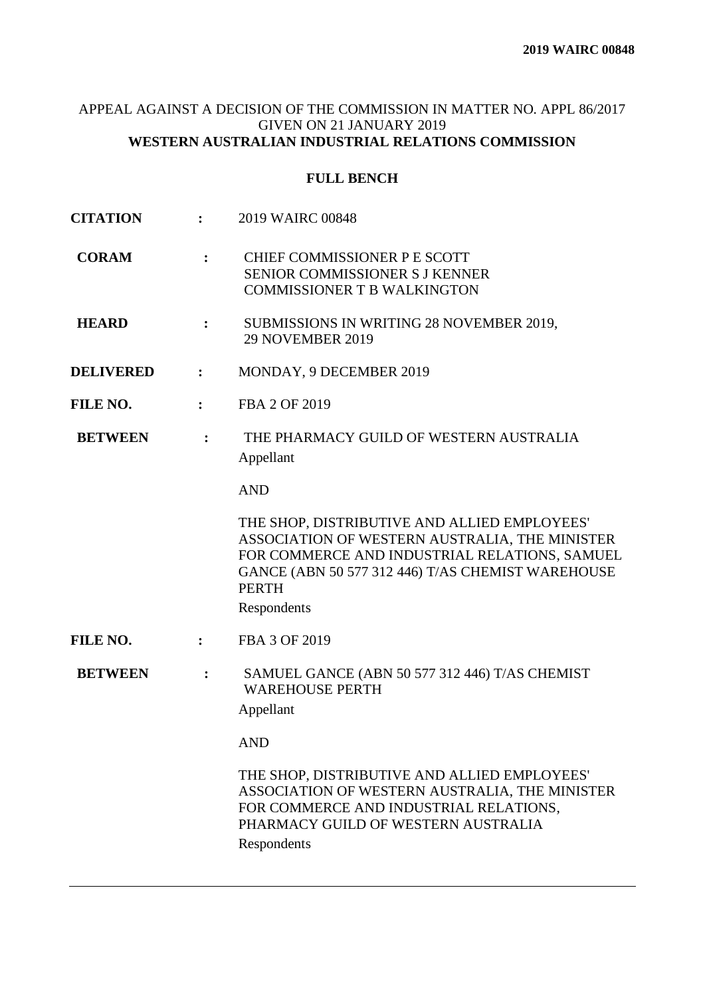# APPEAL AGAINST A DECISION OF THE COMMISSION IN MATTER NO. APPL 86/2017 GIVEN ON 21 JANUARY 2019 **WESTERN AUSTRALIAN INDUSTRIAL RELATIONS COMMISSION**

# **FULL BENCH**

| <b>CITATION</b>  |                | 2019 WAIRC 00848                                                                                                                                                                                                                    |
|------------------|----------------|-------------------------------------------------------------------------------------------------------------------------------------------------------------------------------------------------------------------------------------|
| <b>CORAM</b>     | :              | CHIEF COMMISSIONER P E SCOTT<br><b>SENIOR COMMISSIONER S J KENNER</b><br><b>COMMISSIONER T B WALKINGTON</b>                                                                                                                         |
| <b>HEARD</b>     | :              | SUBMISSIONS IN WRITING 28 NOVEMBER 2019,<br><b>29 NOVEMBER 2019</b>                                                                                                                                                                 |
| <b>DELIVERED</b> | $\ddot{\cdot}$ | MONDAY, 9 DECEMBER 2019                                                                                                                                                                                                             |
| FILE NO.         | $\ddot{\cdot}$ | FBA 2 OF 2019                                                                                                                                                                                                                       |
| <b>BETWEEN</b>   | $\ddot{\cdot}$ | THE PHARMACY GUILD OF WESTERN AUSTRALIA<br>Appellant                                                                                                                                                                                |
|                  |                | <b>AND</b>                                                                                                                                                                                                                          |
|                  |                | THE SHOP, DISTRIBUTIVE AND ALLIED EMPLOYEES'<br>ASSOCIATION OF WESTERN AUSTRALIA, THE MINISTER<br>FOR COMMERCE AND INDUSTRIAL RELATIONS, SAMUEL<br>GANCE (ABN 50 577 312 446) T/AS CHEMIST WAREHOUSE<br><b>PERTH</b><br>Respondents |
| FILE NO.         | $\ddot{\cdot}$ | FBA 3 OF 2019                                                                                                                                                                                                                       |
| <b>BETWEEN</b>   | $\ddot{\cdot}$ | SAMUEL GANCE (ABN 50 577 312 446) T/AS CHEMIST<br><b>WAREHOUSE PERTH</b><br>Appellant                                                                                                                                               |
|                  |                | <b>AND</b>                                                                                                                                                                                                                          |
|                  |                | THE SHOP, DISTRIBUTIVE AND ALLIED EMPLOYEES'<br>ASSOCIATION OF WESTERN AUSTRALIA, THE MINISTER<br>FOR COMMERCE AND INDUSTRIAL RELATIONS,<br>PHARMACY GUILD OF WESTERN AUSTRALIA<br>Respondents                                      |
|                  |                |                                                                                                                                                                                                                                     |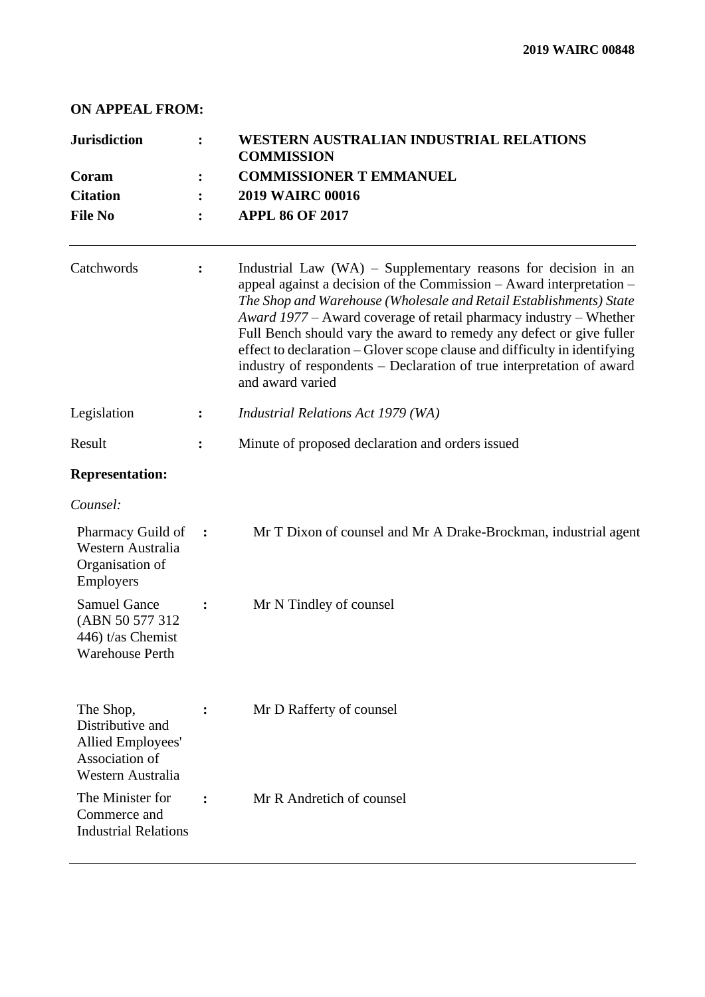## **ON APPEAL FROM:**

| <b>Jurisdiction</b><br>Coram<br><b>Citation</b>                                                  |                | WESTERN AUSTRALIAN INDUSTRIAL RELATIONS<br><b>COMMISSION</b>                        |                                                                                                                                                                                                                                                                                                                                                                                                                                                                                                                                       |
|--------------------------------------------------------------------------------------------------|----------------|-------------------------------------------------------------------------------------|---------------------------------------------------------------------------------------------------------------------------------------------------------------------------------------------------------------------------------------------------------------------------------------------------------------------------------------------------------------------------------------------------------------------------------------------------------------------------------------------------------------------------------------|
|                                                                                                  |                | <b>COMMISSIONER T EMMANUEL</b><br><b>2019 WAIRC 00016</b><br><b>APPL 86 OF 2017</b> |                                                                                                                                                                                                                                                                                                                                                                                                                                                                                                                                       |
|                                                                                                  |                |                                                                                     | <b>File No</b>                                                                                                                                                                                                                                                                                                                                                                                                                                                                                                                        |
| Catchwords                                                                                       | ፡              |                                                                                     | Industrial Law $(WA)$ – Supplementary reasons for decision in an<br>appeal against a decision of the Commission – Award interpretation –<br>The Shop and Warehouse (Wholesale and Retail Establishments) State<br>Award 1977 – Award coverage of retail pharmacy industry – Whether<br>Full Bench should vary the award to remedy any defect or give fuller<br>effect to declaration - Glover scope clause and difficulty in identifying<br>industry of respondents – Declaration of true interpretation of award<br>and award varied |
| Legislation                                                                                      | ፡              | Industrial Relations Act 1979 (WA)                                                  |                                                                                                                                                                                                                                                                                                                                                                                                                                                                                                                                       |
| Result                                                                                           | ፡              | Minute of proposed declaration and orders issued                                    |                                                                                                                                                                                                                                                                                                                                                                                                                                                                                                                                       |
| <b>Representation:</b>                                                                           |                |                                                                                     |                                                                                                                                                                                                                                                                                                                                                                                                                                                                                                                                       |
| Counsel:                                                                                         |                |                                                                                     |                                                                                                                                                                                                                                                                                                                                                                                                                                                                                                                                       |
| Pharmacy Guild of<br>Western Australia<br>Organisation of<br>Employers                           | $\ddot{\cdot}$ | Mr T Dixon of counsel and Mr A Drake-Brockman, industrial agent                     |                                                                                                                                                                                                                                                                                                                                                                                                                                                                                                                                       |
| <b>Samuel Gance</b><br>(ABN 50 577 312)<br>446) t/as Chemist<br><b>Warehouse Perth</b>           |                | Mr N Tindley of counsel                                                             |                                                                                                                                                                                                                                                                                                                                                                                                                                                                                                                                       |
| The Shop,<br>Distributive and<br><b>Allied Employees'</b><br>Association of<br>Western Australia |                | Mr D Rafferty of counsel                                                            |                                                                                                                                                                                                                                                                                                                                                                                                                                                                                                                                       |
| The Minister for<br>Commerce and<br><b>Industrial Relations</b>                                  | $\ddot{\cdot}$ | Mr R Andretich of counsel                                                           |                                                                                                                                                                                                                                                                                                                                                                                                                                                                                                                                       |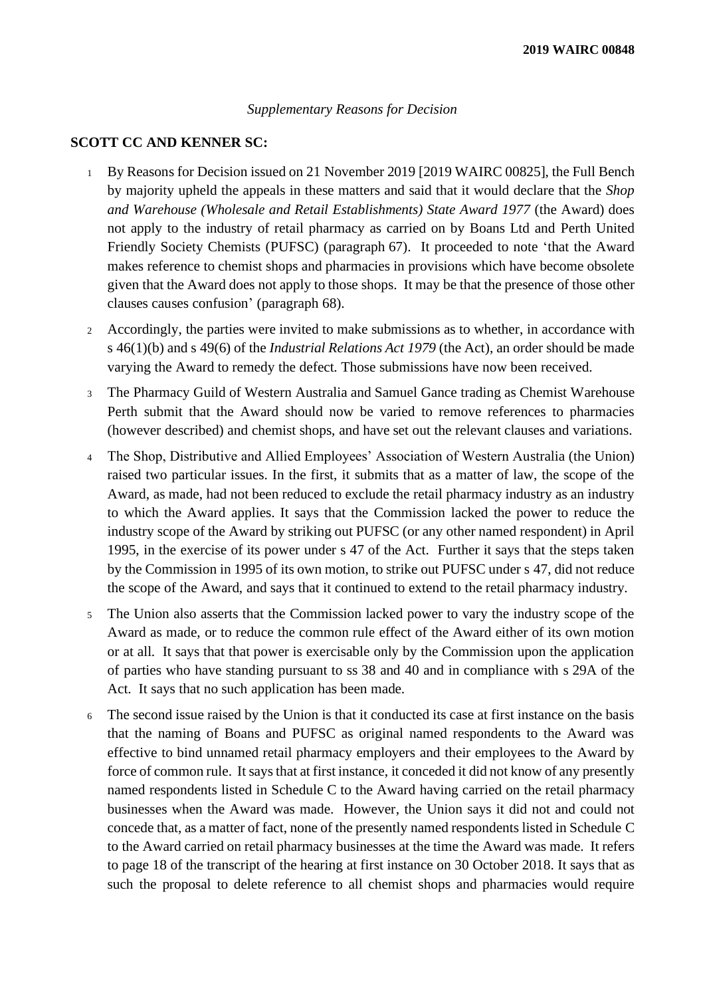#### *Supplementary Reasons for Decision*

## **SCOTT CC AND KENNER SC:**

- <sup>1</sup> By Reasons for Decision issued on 21 November 2019 [2019 WAIRC 00825], the Full Bench by majority upheld the appeals in these matters and said that it would declare that the *Shop and Warehouse (Wholesale and Retail Establishments) State Award 1977* (the Award) does not apply to the industry of retail pharmacy as carried on by Boans Ltd and Perth United Friendly Society Chemists (PUFSC) (paragraph 67). It proceeded to note 'that the Award makes reference to chemist shops and pharmacies in provisions which have become obsolete given that the Award does not apply to those shops. It may be that the presence of those other clauses causes confusion' (paragraph 68).
- <sup>2</sup> Accordingly, the parties were invited to make submissions as to whether, in accordance with s 46(1)(b) and s 49(6) of the *Industrial Relations Act 1979* (the Act), an order should be made varying the Award to remedy the defect. Those submissions have now been received.
- <sup>3</sup> The Pharmacy Guild of Western Australia and Samuel Gance trading as Chemist Warehouse Perth submit that the Award should now be varied to remove references to pharmacies (however described) and chemist shops, and have set out the relevant clauses and variations.
- <sup>4</sup> The Shop, Distributive and Allied Employees' Association of Western Australia (the Union) raised two particular issues. In the first, it submits that as a matter of law, the scope of the Award, as made, had not been reduced to exclude the retail pharmacy industry as an industry to which the Award applies. It says that the Commission lacked the power to reduce the industry scope of the Award by striking out PUFSC (or any other named respondent) in April 1995, in the exercise of its power under s 47 of the Act. Further it says that the steps taken by the Commission in 1995 of its own motion, to strike out PUFSC under s 47, did not reduce the scope of the Award, and says that it continued to extend to the retail pharmacy industry.
- <sup>5</sup> The Union also asserts that the Commission lacked power to vary the industry scope of the Award as made, or to reduce the common rule effect of the Award either of its own motion or at all. It says that that power is exercisable only by the Commission upon the application of parties who have standing pursuant to ss 38 and 40 and in compliance with s 29A of the Act. It says that no such application has been made.
- <sup>6</sup> The second issue raised by the Union is that it conducted its case at first instance on the basis that the naming of Boans and PUFSC as original named respondents to the Award was effective to bind unnamed retail pharmacy employers and their employees to the Award by force of common rule. It says that at first instance, it conceded it did not know of any presently named respondents listed in Schedule C to the Award having carried on the retail pharmacy businesses when the Award was made. However, the Union says it did not and could not concede that, as a matter of fact, none of the presently named respondents listed in Schedule C to the Award carried on retail pharmacy businesses at the time the Award was made. It refers to page 18 of the transcript of the hearing at first instance on 30 October 2018. It says that as such the proposal to delete reference to all chemist shops and pharmacies would require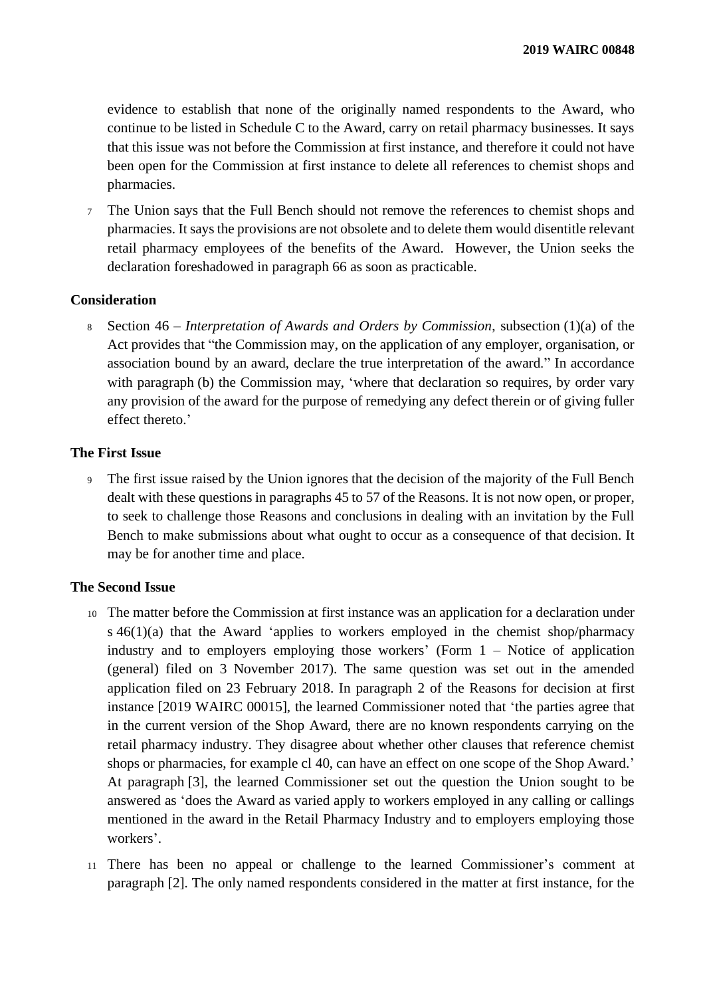evidence to establish that none of the originally named respondents to the Award, who continue to be listed in Schedule C to the Award, carry on retail pharmacy businesses. It says that this issue was not before the Commission at first instance, and therefore it could not have been open for the Commission at first instance to delete all references to chemist shops and pharmacies.

<sup>7</sup> The Union says that the Full Bench should not remove the references to chemist shops and pharmacies. It says the provisions are not obsolete and to delete them would disentitle relevant retail pharmacy employees of the benefits of the Award. However, the Union seeks the declaration foreshadowed in paragraph 66 as soon as practicable.

### **Consideration**

<sup>8</sup> Section 46 – *Interpretation of Awards and Orders by Commission*, subsection (1)(a) of the Act provides that "the Commission may, on the application of any employer, organisation, or association bound by an award, declare the true interpretation of the award." In accordance with paragraph (b) the Commission may, 'where that declaration so requires, by order vary any provision of the award for the purpose of remedying any defect therein or of giving fuller effect thereto.'

### **The First Issue**

<sup>9</sup> The first issue raised by the Union ignores that the decision of the majority of the Full Bench dealt with these questions in paragraphs 45 to 57 of the Reasons. It is not now open, or proper, to seek to challenge those Reasons and conclusions in dealing with an invitation by the Full Bench to make submissions about what ought to occur as a consequence of that decision. It may be for another time and place.

### **The Second Issue**

- <sup>10</sup> The matter before the Commission at first instance was an application for a declaration under  $s\,46(1)(a)$  that the Award 'applies to workers employed in the chemist shop/pharmacy industry and to employers employing those workers' (Form  $1 -$  Notice of application (general) filed on 3 November 2017). The same question was set out in the amended application filed on 23 February 2018. In paragraph 2 of the Reasons for decision at first instance [2019 WAIRC 00015], the learned Commissioner noted that 'the parties agree that in the current version of the Shop Award, there are no known respondents carrying on the retail pharmacy industry. They disagree about whether other clauses that reference chemist shops or pharmacies, for example cl 40, can have an effect on one scope of the Shop Award.' At paragraph [3], the learned Commissioner set out the question the Union sought to be answered as 'does the Award as varied apply to workers employed in any calling or callings mentioned in the award in the Retail Pharmacy Industry and to employers employing those workers'.
- <sup>11</sup> There has been no appeal or challenge to the learned Commissioner's comment at paragraph [2]. The only named respondents considered in the matter at first instance, for the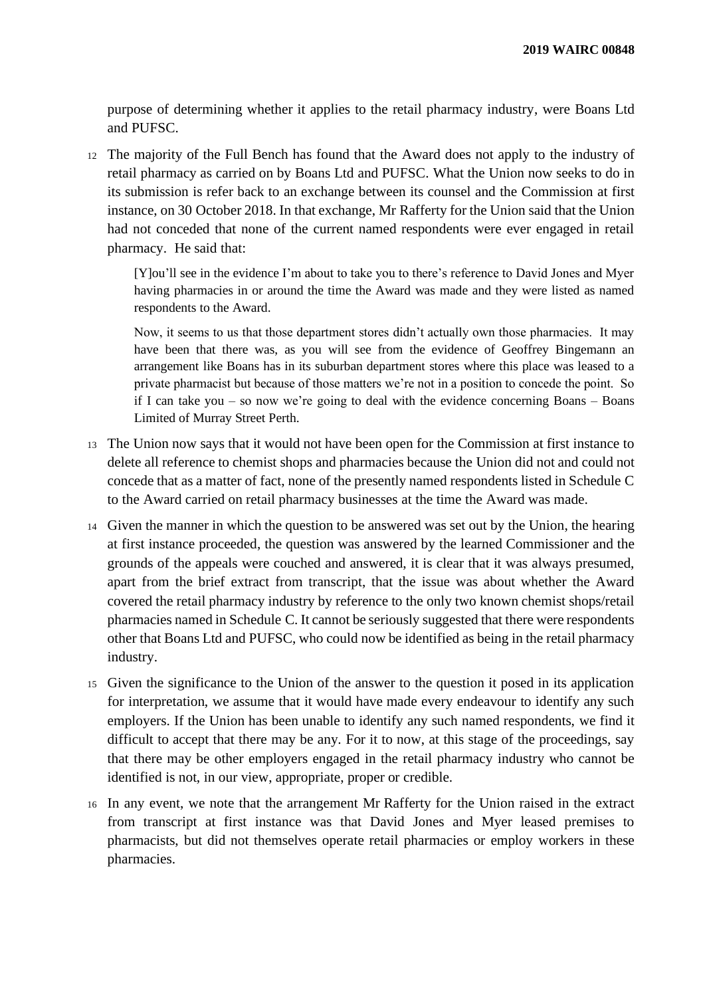purpose of determining whether it applies to the retail pharmacy industry, were Boans Ltd and PUFSC.

<sup>12</sup> The majority of the Full Bench has found that the Award does not apply to the industry of retail pharmacy as carried on by Boans Ltd and PUFSC. What the Union now seeks to do in its submission is refer back to an exchange between its counsel and the Commission at first instance, on 30 October 2018. In that exchange, Mr Rafferty for the Union said that the Union had not conceded that none of the current named respondents were ever engaged in retail pharmacy. He said that:

[Y]ou'll see in the evidence I'm about to take you to there's reference to David Jones and Myer having pharmacies in or around the time the Award was made and they were listed as named respondents to the Award.

Now, it seems to us that those department stores didn't actually own those pharmacies. It may have been that there was, as you will see from the evidence of Geoffrey Bingemann an arrangement like Boans has in its suburban department stores where this place was leased to a private pharmacist but because of those matters we're not in a position to concede the point. So if I can take you – so now we're going to deal with the evidence concerning Boans – Boans Limited of Murray Street Perth.

- <sup>13</sup> The Union now says that it would not have been open for the Commission at first instance to delete all reference to chemist shops and pharmacies because the Union did not and could not concede that as a matter of fact, none of the presently named respondents listed in Schedule C to the Award carried on retail pharmacy businesses at the time the Award was made.
- <sup>14</sup> Given the manner in which the question to be answered was set out by the Union, the hearing at first instance proceeded, the question was answered by the learned Commissioner and the grounds of the appeals were couched and answered, it is clear that it was always presumed, apart from the brief extract from transcript, that the issue was about whether the Award covered the retail pharmacy industry by reference to the only two known chemist shops/retail pharmacies named in Schedule C. It cannot be seriously suggested that there were respondents other that Boans Ltd and PUFSC, who could now be identified as being in the retail pharmacy industry.
- <sup>15</sup> Given the significance to the Union of the answer to the question it posed in its application for interpretation, we assume that it would have made every endeavour to identify any such employers. If the Union has been unable to identify any such named respondents, we find it difficult to accept that there may be any. For it to now, at this stage of the proceedings, say that there may be other employers engaged in the retail pharmacy industry who cannot be identified is not, in our view, appropriate, proper or credible.
- <sup>16</sup> In any event, we note that the arrangement Mr Rafferty for the Union raised in the extract from transcript at first instance was that David Jones and Myer leased premises to pharmacists, but did not themselves operate retail pharmacies or employ workers in these pharmacies.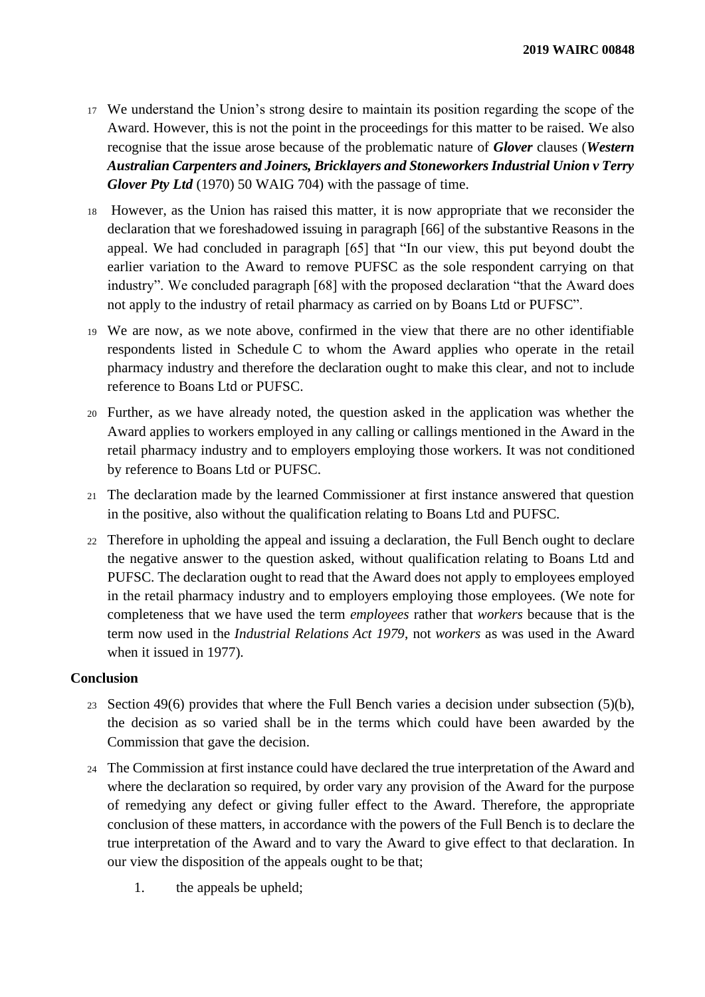- <sup>17</sup> We understand the Union's strong desire to maintain its position regarding the scope of the Award. However, this is not the point in the proceedings for this matter to be raised. We also recognise that the issue arose because of the problematic nature of *Glover* clauses (*Western Australian Carpenters and Joiners, Bricklayers and Stoneworkers Industrial Union v Terry Glover Pty Ltd* (1970) 50 WAIG 704) with the passage of time.
- <sup>18</sup> However, as the Union has raised this matter, it is now appropriate that we reconsider the declaration that we foreshadowed issuing in paragraph [66] of the substantive Reasons in the appeal. We had concluded in paragraph [65] that "In our view, this put beyond doubt the earlier variation to the Award to remove PUFSC as the sole respondent carrying on that industry". We concluded paragraph [68] with the proposed declaration "that the Award does not apply to the industry of retail pharmacy as carried on by Boans Ltd or PUFSC".
- <sup>19</sup> We are now, as we note above, confirmed in the view that there are no other identifiable respondents listed in Schedule C to whom the Award applies who operate in the retail pharmacy industry and therefore the declaration ought to make this clear, and not to include reference to Boans Ltd or PUFSC.
- <sup>20</sup> Further, as we have already noted, the question asked in the application was whether the Award applies to workers employed in any calling or callings mentioned in the Award in the retail pharmacy industry and to employers employing those workers. It was not conditioned by reference to Boans Ltd or PUFSC.
- <sup>21</sup> The declaration made by the learned Commissioner at first instance answered that question in the positive, also without the qualification relating to Boans Ltd and PUFSC.
- <sup>22</sup> Therefore in upholding the appeal and issuing a declaration, the Full Bench ought to declare the negative answer to the question asked, without qualification relating to Boans Ltd and PUFSC. The declaration ought to read that the Award does not apply to employees employed in the retail pharmacy industry and to employers employing those employees. (We note for completeness that we have used the term *employees* rather that *workers* because that is the term now used in the *Industrial Relations Act 1979*, not *workers* as was used in the Award when it issued in 1977).

### **Conclusion**

- <sup>23</sup> Section 49(6) provides that where the Full Bench varies a decision under subsection (5)(b), the decision as so varied shall be in the terms which could have been awarded by the Commission that gave the decision.
- <sup>24</sup> The Commission at first instance could have declared the true interpretation of the Award and where the declaration so required, by order vary any provision of the Award for the purpose of remedying any defect or giving fuller effect to the Award. Therefore, the appropriate conclusion of these matters, in accordance with the powers of the Full Bench is to declare the true interpretation of the Award and to vary the Award to give effect to that declaration. In our view the disposition of the appeals ought to be that;
	- 1. the appeals be upheld;